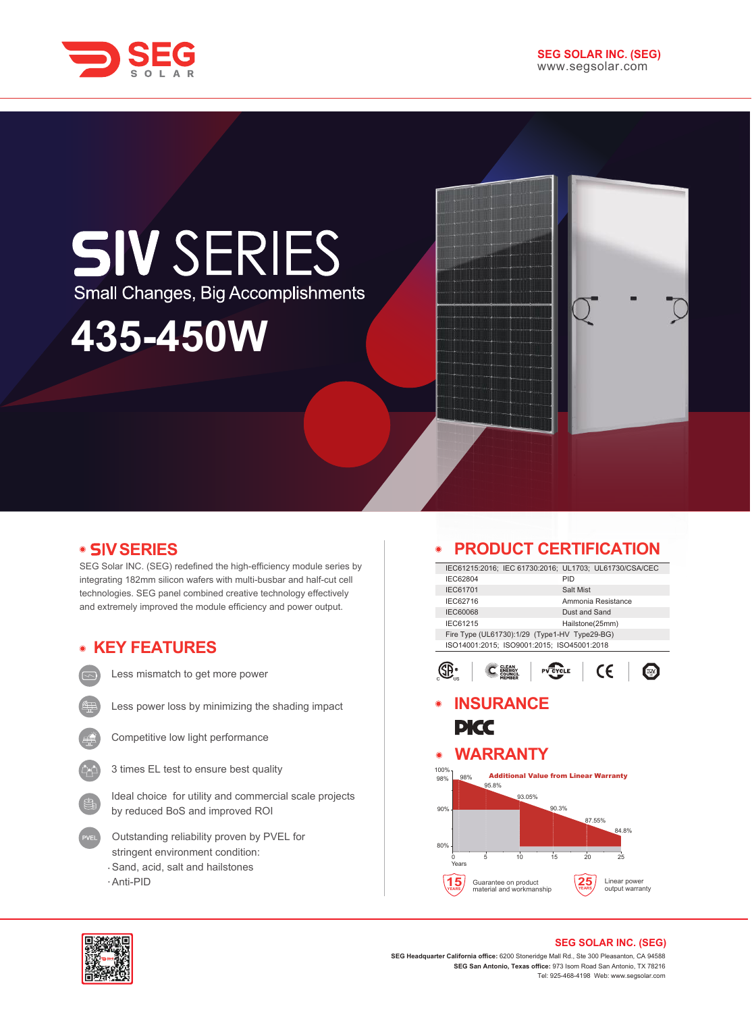



## **SIV SERIES** Small Changes, Big Accomplishments

# **435-450W**

## **SERIES V**

SEG Solar INC. (SEG) redefined the high-efficiency module series by integrating 182mm silicon wafers with multi-busbar and half-cut cell technologies. SEG panel combined creative technology effectively and extremely improved the module efficiency and power output.



Less mismatch to get more power



Less power loss by minimizing the shading impact



Competitive low light performance



Ideal choice for utility and commercial scale projects by reduced BoS and improved ROI

- Outstanding reliability proven by PVEL for stringent environment condition: Sand, acid, salt and hailstones
- Anti-PID

## **PRODUCT CERTIFICATION**

|                    | PRODUCT CERTIFICATION                                  |                                                  |                    |                 |                                 |  |  |  |
|--------------------|--------------------------------------------------------|--------------------------------------------------|--------------------|-----------------|---------------------------------|--|--|--|
|                    | IEC61215:2016; IEC 61730:2016; UL1703; UL61730/CSA/CEC |                                                  |                    |                 |                                 |  |  |  |
| IEC62804           |                                                        |                                                  | PID                |                 |                                 |  |  |  |
|                    | IEC61701<br>Salt Mist                                  |                                                  |                    |                 |                                 |  |  |  |
| IEC62716           |                                                        |                                                  | Ammonia Resistance |                 |                                 |  |  |  |
| <b>IEC60068</b>    |                                                        |                                                  |                    | Dust and Sand   |                                 |  |  |  |
| IEC61215           |                                                        |                                                  |                    | Hailstone(25mm) |                                 |  |  |  |
|                    | Fire Type (UL61730):1/29 (Type1-HV Type29-BG)          |                                                  |                    |                 |                                 |  |  |  |
|                    | ISO14001:2015; ISO9001:2015; ISO45001:2018             |                                                  |                    |                 |                                 |  |  |  |
|                    |                                                        |                                                  | YCLE               |                 | CE                              |  |  |  |
|                    | <b>INSURANCE</b>                                       |                                                  |                    |                 |                                 |  |  |  |
|                    | PKC                                                    |                                                  |                    |                 |                                 |  |  |  |
| $\odot$            | <b>WARRANTY</b>                                        |                                                  |                    |                 |                                 |  |  |  |
| 100%<br>98%<br>98% | 95.8%                                                  | <b>Additional Value from Linear Warranty</b>     |                    |                 |                                 |  |  |  |
|                    |                                                        | 93.05%                                           |                    |                 |                                 |  |  |  |
| 90%                |                                                        |                                                  | 90.3%              |                 |                                 |  |  |  |
|                    |                                                        |                                                  |                    | 87.55%          |                                 |  |  |  |
|                    |                                                        |                                                  |                    |                 | 84.8%                           |  |  |  |
| 80%                |                                                        |                                                  |                    |                 |                                 |  |  |  |
| Ω<br>Years         | 5                                                      | 10                                               | 15                 | 20              | 25                              |  |  |  |
|                    |                                                        | Guarantee on product<br>material and workmanship |                    |                 | Linear power<br>output warranty |  |  |  |
|                    |                                                        |                                                  |                    |                 |                                 |  |  |  |



#### **SEG SOLAR INC. (SEG)**

**SEG Headquarter California office:** 6200 Stoneridge Mall Rd., Ste 300 Pleasanton, CA 94588 **SEG San Antonio, Texas office:** 973 Isom Road San Antonio, TX 78216 Tel: 925-468-4198 Web: www.segsolar.com